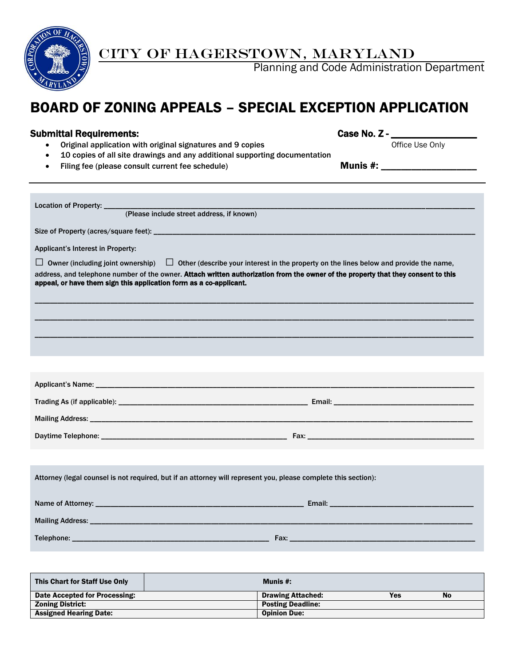

## **EXAMPLE SET OF HAGERSTOWN, MARYLAND**

**ALL ASIC CODE Administration Department** Planning and Code Administration Department

# BOARD OF ZONING APPEALS – SPECIAL EXCEPTION APPLICATION

| <b>Submittal Requirements:</b>                                                                                                         |                                |
|----------------------------------------------------------------------------------------------------------------------------------------|--------------------------------|
| Original application with original signatures and 9 copies                                                                             | Office Use Only                |
| 10 copies of all site drawings and any additional supporting documentation<br>$\bullet$                                                |                                |
| Filing fee (please consult current fee schedule)                                                                                       | Munis #: _____________________ |
|                                                                                                                                        |                                |
|                                                                                                                                        |                                |
| Location of Property: _____<br>(Please include street address, if known)                                                               |                                |
|                                                                                                                                        |                                |
|                                                                                                                                        |                                |
| Applicant's Interest in Property:                                                                                                      |                                |
| $\Box$ Owner (including joint ownership) $\Box$ Other (describe your interest in the property on the lines below and provide the name, |                                |
| address, and telephone number of the owner. Attach written authorization from the owner of the property that they consent to this      |                                |
| appeal, or have them sign this application form as a co-applicant.                                                                     |                                |
|                                                                                                                                        |                                |
|                                                                                                                                        |                                |
|                                                                                                                                        |                                |
|                                                                                                                                        |                                |
|                                                                                                                                        |                                |
|                                                                                                                                        |                                |
|                                                                                                                                        |                                |
|                                                                                                                                        |                                |
|                                                                                                                                        |                                |
|                                                                                                                                        |                                |
|                                                                                                                                        |                                |
|                                                                                                                                        |                                |
|                                                                                                                                        |                                |
|                                                                                                                                        |                                |
| Attorney (legal counsel is not required, but if an attorney will represent you, please complete this section):                         |                                |
|                                                                                                                                        |                                |
| Name of Attorney:<br>Email:                                                                                                            |                                |
|                                                                                                                                        |                                |
| Telephone: __<br>Fax:                                                                                                                  |                                |
|                                                                                                                                        |                                |
|                                                                                                                                        |                                |
|                                                                                                                                        |                                |

| This Chart for Staff Use Only | Munis $#$ :              |     |           |
|-------------------------------|--------------------------|-----|-----------|
| Date Accepted for Processing: | <b>Drawing Attached:</b> | Yes | <b>No</b> |
| <b>Zoning District:</b>       | <b>Posting Deadline:</b> |     |           |
| <b>Assigned Hearing Date:</b> | <b>Opinion Due:</b>      |     |           |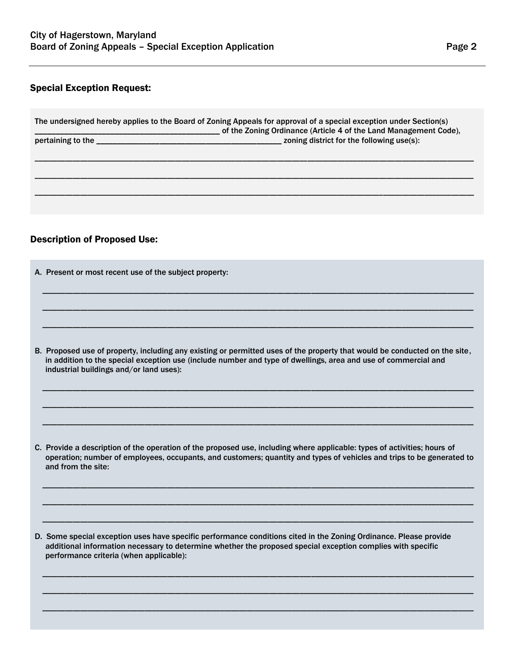#### Special Exception Request:

| The undersigned hereby applies to the Board of Zoning Appeals for approval of a special exception under Section(s)<br>of the Zoning Ordinance (Article 4 of the Land Management Code), |                                           |  |
|----------------------------------------------------------------------------------------------------------------------------------------------------------------------------------------|-------------------------------------------|--|
| pertaining to the                                                                                                                                                                      | zoning district for the following use(s): |  |
|                                                                                                                                                                                        |                                           |  |
|                                                                                                                                                                                        |                                           |  |
|                                                                                                                                                                                        |                                           |  |
|                                                                                                                                                                                        |                                           |  |

### Description of Proposed Use:

| A. Present or most recent use of the subject property:                                                                                                                                                                                                                                  |  |  |
|-----------------------------------------------------------------------------------------------------------------------------------------------------------------------------------------------------------------------------------------------------------------------------------------|--|--|
|                                                                                                                                                                                                                                                                                         |  |  |
|                                                                                                                                                                                                                                                                                         |  |  |
|                                                                                                                                                                                                                                                                                         |  |  |
| B. Proposed use of property, including any existing or permitted uses of the property that would be conducted on the site,<br>in addition to the special exception use (include number and type of dwellings, area and use of commercial and<br>industrial buildings and/or land uses): |  |  |
|                                                                                                                                                                                                                                                                                         |  |  |
|                                                                                                                                                                                                                                                                                         |  |  |
| C. Provide a description of the operation of the proposed use, including where applicable: types of activities; hours of                                                                                                                                                                |  |  |

operation; number of employees, occupants, and customers; quantity and types of vehicles and trips to be generated to and from the site:

\_\_\_\_\_\_\_\_\_\_\_\_\_\_\_\_\_\_\_\_\_\_\_\_\_\_\_\_\_\_\_\_\_\_\_\_\_\_\_\_\_\_\_\_\_\_\_\_\_\_\_\_\_\_\_\_\_\_\_\_\_\_\_\_\_\_\_\_\_\_\_\_\_\_\_\_\_\_\_\_\_\_\_\_\_\_\_\_\_\_\_\_\_\_\_\_\_\_\_\_\_\_\_\_\_\_\_\_\_\_\_\_\_\_

\_\_\_\_\_\_\_\_\_\_\_\_\_\_\_\_\_\_\_\_\_\_\_\_\_\_\_\_\_\_\_\_\_\_\_\_\_\_\_\_\_\_\_\_\_\_\_\_\_\_\_\_\_\_\_\_\_\_\_\_\_\_\_\_\_\_\_\_\_\_\_\_\_\_\_\_\_\_\_\_\_\_\_\_\_\_\_\_\_\_\_\_\_\_\_\_\_\_\_\_\_\_\_\_\_\_\_\_\_\_\_\_\_\_

\_\_\_\_\_\_\_\_\_\_\_\_\_\_\_\_\_\_\_\_\_\_\_\_\_\_\_\_\_\_\_\_\_\_\_\_\_\_\_\_\_\_\_\_\_\_\_\_\_\_\_\_\_\_\_\_\_\_\_\_\_\_\_\_\_\_\_\_\_\_\_\_\_\_\_\_\_\_\_\_\_\_\_\_\_\_\_\_\_\_\_\_\_\_\_\_\_\_\_\_\_\_\_\_\_\_\_\_\_\_\_\_\_\_

\_\_\_\_\_\_\_\_\_\_\_\_\_\_\_\_\_\_\_\_\_\_\_\_\_\_\_\_\_\_\_\_\_\_\_\_\_\_\_\_\_\_\_\_\_\_\_\_\_\_\_\_\_\_\_\_\_\_\_\_\_\_\_\_\_\_\_\_\_\_\_\_\_\_\_\_\_\_\_\_\_\_\_\_\_\_\_\_\_\_\_\_\_\_\_\_\_\_\_\_\_\_\_\_\_\_\_\_\_\_\_\_\_\_

\_\_\_\_\_\_\_\_\_\_\_\_\_\_\_\_\_\_\_\_\_\_\_\_\_\_\_\_\_\_\_\_\_\_\_\_\_\_\_\_\_\_\_\_\_\_\_\_\_\_\_\_\_\_\_\_\_\_\_\_\_\_\_\_\_\_\_\_\_\_\_\_\_\_\_\_\_\_\_\_\_\_\_\_\_\_\_\_\_\_\_\_\_\_\_\_\_\_\_\_\_\_\_\_\_\_\_\_\_\_\_\_\_\_

\_\_\_\_\_\_\_\_\_\_\_\_\_\_\_\_\_\_\_\_\_\_\_\_\_\_\_\_\_\_\_\_\_\_\_\_\_\_\_\_\_\_\_\_\_\_\_\_\_\_\_\_\_\_\_\_\_\_\_\_\_\_\_\_\_\_\_\_\_\_\_\_\_\_\_\_\_\_\_\_\_\_\_\_\_\_\_\_\_\_\_\_\_\_\_\_\_\_\_\_\_\_\_\_\_\_\_\_\_\_\_\_\_\_

D. Some special exception uses have specific performance conditions cited in the Zoning Ordinance. Please provide additional information necessary to determine whether the proposed special exception complies with specific performance criteria (when applicable):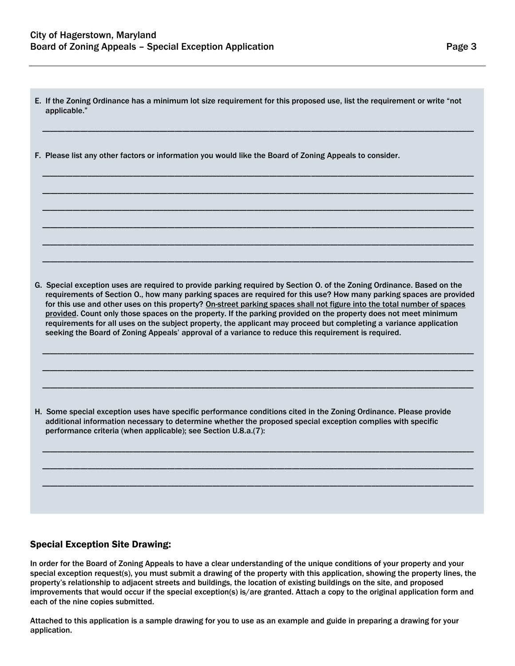E. If the Zoning Ordinance has a minimum lot size requirement for this proposed use, list the requirement or write "not applicable."

\_\_\_\_\_\_\_\_\_\_\_\_\_\_\_\_\_\_\_\_\_\_\_\_\_\_\_\_\_\_\_\_\_\_\_\_\_\_\_\_\_\_\_\_\_\_\_\_\_\_\_\_\_\_\_\_\_\_\_\_\_\_\_\_\_\_\_\_\_\_\_\_\_\_\_\_\_\_\_\_\_\_\_\_\_\_\_\_\_\_\_\_\_\_\_\_\_\_\_\_\_\_\_\_\_\_\_\_\_\_\_\_\_\_

\_\_\_\_\_\_\_\_\_\_\_\_\_\_\_\_\_\_\_\_\_\_\_\_\_\_\_\_\_\_\_\_\_\_\_\_\_\_\_\_\_\_\_\_\_\_\_\_\_\_\_\_\_\_\_\_\_\_\_\_\_\_\_\_\_\_\_\_\_\_\_\_\_\_\_\_\_\_\_\_\_\_\_\_\_\_\_\_\_\_\_\_\_\_\_\_\_\_\_\_\_\_\_\_\_\_\_\_\_\_\_\_\_\_

\_\_\_\_\_\_\_\_\_\_\_\_\_\_\_\_\_\_\_\_\_\_\_\_\_\_\_\_\_\_\_\_\_\_\_\_\_\_\_\_\_\_\_\_\_\_\_\_\_\_\_\_\_\_\_\_\_\_\_\_\_\_\_\_\_\_\_\_\_\_\_\_\_\_\_\_\_\_\_\_\_\_\_\_\_\_\_\_\_\_\_\_\_\_\_\_\_\_\_\_\_\_\_\_\_\_\_\_\_\_\_\_\_\_

\_\_\_\_\_\_\_\_\_\_\_\_\_\_\_\_\_\_\_\_\_\_\_\_\_\_\_\_\_\_\_\_\_\_\_\_\_\_\_\_\_\_\_\_\_\_\_\_\_\_\_\_\_\_\_\_\_\_\_\_\_\_\_\_\_\_\_\_\_\_\_\_\_\_\_\_\_\_\_\_\_\_\_\_\_\_\_\_\_\_\_\_\_\_\_\_\_\_\_\_\_\_\_\_\_\_\_\_\_\_\_\_\_\_

\_\_\_\_\_\_\_\_\_\_\_\_\_\_\_\_\_\_\_\_\_\_\_\_\_\_\_\_\_\_\_\_\_\_\_\_\_\_\_\_\_\_\_\_\_\_\_\_\_\_\_\_\_\_\_\_\_\_\_\_\_\_\_\_\_\_\_\_\_\_\_\_\_\_\_\_\_\_\_\_\_\_\_\_\_\_\_\_\_\_\_\_\_\_\_\_\_\_\_\_\_\_\_\_\_\_\_\_\_\_\_\_\_\_

\_\_\_\_\_\_\_\_\_\_\_\_\_\_\_\_\_\_\_\_\_\_\_\_\_\_\_\_\_\_\_\_\_\_\_\_\_\_\_\_\_\_\_\_\_\_\_\_\_\_\_\_\_\_\_\_\_\_\_\_\_\_\_\_\_\_\_\_\_\_\_\_\_\_\_\_\_\_\_\_\_\_\_\_\_\_\_\_\_\_\_\_\_\_\_\_\_\_\_\_\_\_\_\_\_\_\_\_\_\_\_\_\_\_

\_\_\_\_\_\_\_\_\_\_\_\_\_\_\_\_\_\_\_\_\_\_\_\_\_\_\_\_\_\_\_\_\_\_\_\_\_\_\_\_\_\_\_\_\_\_\_\_\_\_\_\_\_\_\_\_\_\_\_\_\_\_\_\_\_\_\_\_\_\_\_\_\_\_\_\_\_\_\_\_\_\_\_\_\_\_\_\_\_\_\_\_\_\_\_\_\_\_\_\_\_\_\_\_\_\_\_\_\_\_\_\_\_\_

F. Please list any other factors or information you would like the Board of Zoning Appeals to consider.

G. Special exception uses are required to provide parking required by Section O. of the Zoning Ordinance. Based on the requirements of Section O., how many parking spaces are required for this use? How many parking spaces are provided for this use and other uses on this property? On-street parking spaces shall not figure into the total number of spaces provided. Count only those spaces on the property. If the parking provided on the property does not meet minimum requirements for all uses on the subject property, the applicant may proceed but completing a variance application seeking the Board of Zoning Appeals' approval of a variance to reduce this requirement is required.

\_\_\_\_\_\_\_\_\_\_\_\_\_\_\_\_\_\_\_\_\_\_\_\_\_\_\_\_\_\_\_\_\_\_\_\_\_\_\_\_\_\_\_\_\_\_\_\_\_\_\_\_\_\_\_\_\_\_\_\_\_\_\_\_\_\_\_\_\_\_\_\_\_\_\_\_\_\_\_\_\_\_\_\_\_\_\_\_\_\_\_\_\_\_\_\_\_\_\_\_\_\_\_\_\_\_\_\_\_\_\_\_\_\_

\_\_\_\_\_\_\_\_\_\_\_\_\_\_\_\_\_\_\_\_\_\_\_\_\_\_\_\_\_\_\_\_\_\_\_\_\_\_\_\_\_\_\_\_\_\_\_\_\_\_\_\_\_\_\_\_\_\_\_\_\_\_\_\_\_\_\_\_\_\_\_\_\_\_\_\_\_\_\_\_\_\_\_\_\_\_\_\_\_\_\_\_\_\_\_\_\_\_\_\_\_\_\_\_\_\_\_\_\_\_\_\_\_\_

\_\_\_\_\_\_\_\_\_\_\_\_\_\_\_\_\_\_\_\_\_\_\_\_\_\_\_\_\_\_\_\_\_\_\_\_\_\_\_\_\_\_\_\_\_\_\_\_\_\_\_\_\_\_\_\_\_\_\_\_\_\_\_\_\_\_\_\_\_\_\_\_\_\_\_\_\_\_\_\_\_\_\_\_\_\_\_\_\_\_\_\_\_\_\_\_\_\_\_\_\_\_\_\_\_\_\_\_\_\_\_\_\_\_

\_\_\_\_\_\_\_\_\_\_\_\_\_\_\_\_\_\_\_\_\_\_\_\_\_\_\_\_\_\_\_\_\_\_\_\_\_\_\_\_\_\_\_\_\_\_\_\_\_\_\_\_\_\_\_\_\_\_\_\_\_\_\_\_\_\_\_\_\_\_\_\_\_\_\_\_\_\_\_\_\_\_\_\_\_\_\_\_\_\_\_\_\_\_\_\_\_\_\_\_\_\_\_\_\_\_\_\_\_\_\_\_\_\_

\_\_\_\_\_\_\_\_\_\_\_\_\_\_\_\_\_\_\_\_\_\_\_\_\_\_\_\_\_\_\_\_\_\_\_\_\_\_\_\_\_\_\_\_\_\_\_\_\_\_\_\_\_\_\_\_\_\_\_\_\_\_\_\_\_\_\_\_\_\_\_\_\_\_\_\_\_\_\_\_\_\_\_\_\_\_\_\_\_\_\_\_\_\_\_\_\_\_\_\_\_\_\_\_\_\_\_\_\_\_\_\_\_\_

\_\_\_\_\_\_\_\_\_\_\_\_\_\_\_\_\_\_\_\_\_\_\_\_\_\_\_\_\_\_\_\_\_\_\_\_\_\_\_\_\_\_\_\_\_\_\_\_\_\_\_\_\_\_\_\_\_\_\_\_\_\_\_\_\_\_\_\_\_\_\_\_\_\_\_\_\_\_\_\_\_\_\_\_\_\_\_\_\_\_\_\_\_\_\_\_\_\_\_\_\_\_\_\_\_\_\_\_\_\_\_\_\_\_

H. Some special exception uses have specific performance conditions cited in the Zoning Ordinance. Please provide additional information necessary to determine whether the proposed special exception complies with specific performance criteria (when applicable); see Section U.8.a.(7):

#### Special Exception Site Drawing:

In order for the Board of Zoning Appeals to have a clear understanding of the unique conditions of your property and your special exception request(s), you must submit a drawing of the property with this application, showing the property lines, the property's relationship to adjacent streets and buildings, the location of existing buildings on the site, and proposed improvements that would occur if the special exception(s) is/are granted. Attach a copy to the original application form and each of the nine copies submitted.

Attached to this application is a sample drawing for you to use as an example and guide in preparing a drawing for your application.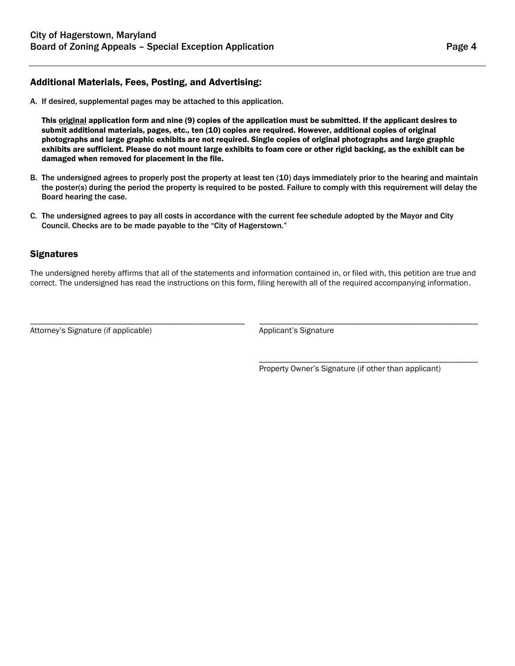#### Additional Materials, Fees, Posting, and Advertising:

A. If desired, supplemental pages may be attached to this application.

This **original** application form and nine (9) copies of the application must be submitted. If the applicant desires to submit additional materials, pages, etc., ten (10) copies are required. However, additional copies of original photographs and large graphic exhibits are not required. Single copies of original photographs and large graphic exhibits are sufficient. Please do not mount large exhibits to foam core or other rigid backing, as the exhibit can be damaged when removed for placement in the file.

- B. The undersigned agrees to properly post the property at least ten (10) days immediately prior to the hearing and maintain the poster(s) during the period the property is required to be posted. Failure to comply with this requirement will delay the Board hearing the case.
- C. The undersigned agrees to pay all costs in accordance with the current fee schedule adopted by the Mayor and City Council. Checks are to be made payable to the "City of Hagerstown."

#### **Signatures**

The undersigned hereby affirms that all of the statements and information contained in, or filed with, this petition are true and correct. The undersigned has read the instructions on this form, filing herewith all of the required accompanying information.

\_\_\_\_\_\_\_\_\_\_\_\_\_\_\_\_\_\_\_\_\_\_\_\_\_\_\_\_\_\_\_\_\_\_\_\_\_\_\_\_\_\_\_\_\_\_\_\_\_\_\_ \_\_\_\_\_\_\_\_\_\_\_\_\_\_\_\_\_\_\_\_\_\_\_\_\_\_\_\_\_\_\_\_\_\_\_\_\_\_\_\_\_\_\_\_\_\_\_\_\_\_\_\_

Attorney's Signature (if applicable) and applicant's Signature Applicant's Signature

Property Owner's Signature (if other than applicant)

\_\_\_\_\_\_\_\_\_\_\_\_\_\_\_\_\_\_\_\_\_\_\_\_\_\_\_\_\_\_\_\_\_\_\_\_\_\_\_\_\_\_\_\_\_\_\_\_\_\_\_\_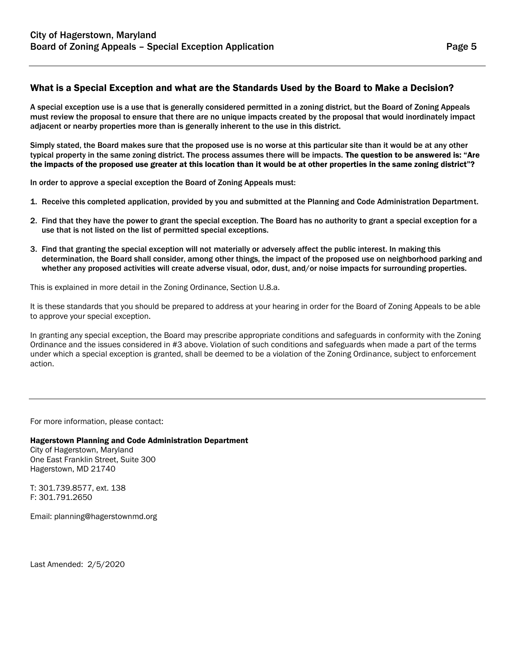#### What is a Special Exception and what are the Standards Used by the Board to Make a Decision?

A special exception use is a use that is generally considered permitted in a zoning district, but the Board of Zoning Appeals must review the proposal to ensure that there are no unique impacts created by the proposal that would inordinately impact adjacent or nearby properties more than is generally inherent to the use in this district.

Simply stated, the Board makes sure that the proposed use is no worse at this particular site than it would be at any other typical property in the same zoning district. The process assumes there will be impacts. The question to be answered is: "Are the impacts of the proposed use greater at this location than it would be at other properties in the same zoning district"?

In order to approve a special exception the Board of Zoning Appeals must:

- 1. Receive this completed application, provided by you and submitted at the Planning and Code Administration Department.
- 2. Find that they have the power to grant the special exception. The Board has no authority to grant a special exception for a use that is not listed on the list of permitted special exceptions.
- 3. Find that granting the special exception will not materially or adversely affect the public interest. In making this determination, the Board shall consider, among other things, the impact of the proposed use on neighborhood parking and whether any proposed activities will create adverse visual, odor, dust, and/or noise impacts for surrounding properties.

This is explained in more detail in the Zoning Ordinance, Section U.8.a.

It is these standards that you should be prepared to address at your hearing in order for the Board of Zoning Appeals to be able to approve your special exception.

In granting any special exception, the Board may prescribe appropriate conditions and safeguards in conformity with the Zoning Ordinance and the issues considered in #3 above. Violation of such conditions and safeguards when made a part of the terms under which a special exception is granted, shall be deemed to be a violation of the Zoning Ordinance, subject to enforcement action.

For more information, please contact:

Hagerstown Planning and Code Administration Department

City of Hagerstown, Maryland One East Franklin Street, Suite 300 Hagerstown, MD 21740

T: 301.739.8577, ext. 138 F: 301.791.2650

Email: planning@hagerstownmd.org

Last Amended: 2/5/2020